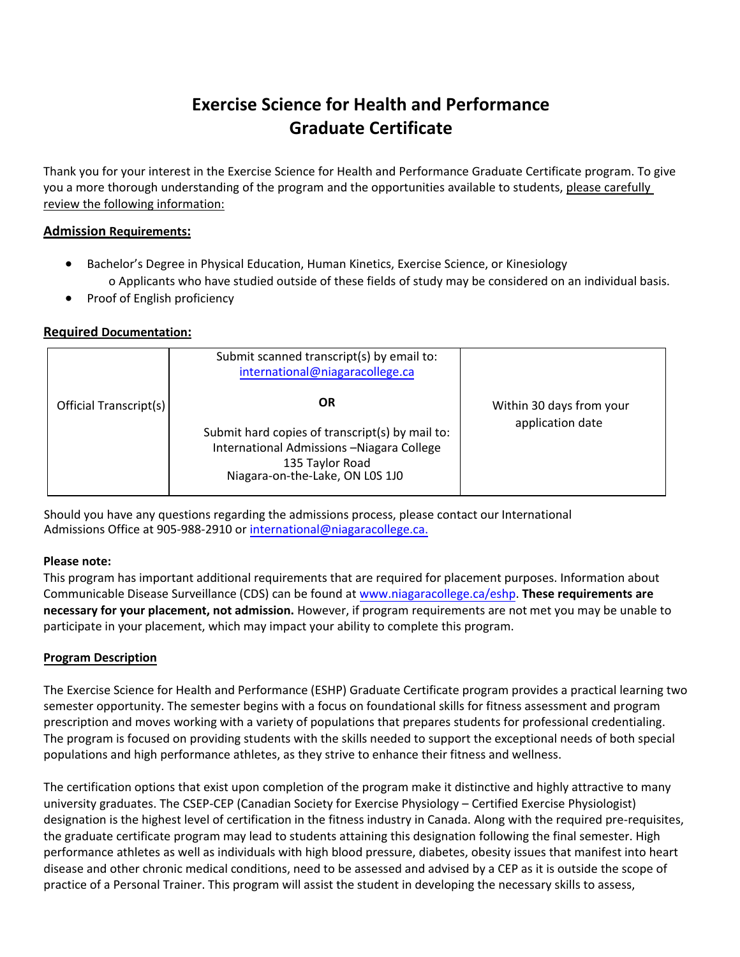# **Exercise Science for Health and Performance Graduate Certificate**

Thank you for your interest in the Exercise Science for Health and Performance Graduate Certificate program. To give you a more thorough understanding of the program and the opportunities available to students, please carefully review the following information:

## **Admission Requirements:**

- Bachelor's Degree in Physical Education, Human Kinetics, Exercise Science, or Kinesiology o Applicants who have studied outside of these fields of study may be considered on an individual basis.
- Proof of English proficiency

### **Required Documentation:**

|                        | Submit scanned transcript(s) by email to:<br>international@niagaracollege.ca                                                                             |                                              |
|------------------------|----------------------------------------------------------------------------------------------------------------------------------------------------------|----------------------------------------------|
| Official Transcript(s) | ΟR<br>Submit hard copies of transcript(s) by mail to:<br>International Admissions -Niagara College<br>135 Taylor Road<br>Niagara-on-the-Lake, ON L0S 1J0 | Within 30 days from your<br>application date |

Should you have any questions regarding the admissions process, please contact our International Admissions Office at 905-988-2910 or international[@niagaracollege.ca.](mailto:intlapply@niagaracollege.ca.)

#### **Please note:**

This program has important additional requirements that are required for placement purposes. Information about Communicable Disease Surveillance (CDS) can be found at [www.niagaracollege.ca/eshp.](http://www.niagaracollege.ca/eshp) **These requirements are necessary for your placement, not admission.** However, if program requirements are not met you may be unable to participate in your placement, which may impact your ability to complete this program.

#### **Program Description**

The Exercise Science for Health and Performance (ESHP) Graduate Certificate program provides a practical learning two semester opportunity. The semester begins with a focus on foundational skills for fitness assessment and program prescription and moves working with a variety of populations that prepares students for professional credentialing. The program is focused on providing students with the skills needed to support the exceptional needs of both special populations and high performance athletes, as they strive to enhance their fitness and wellness.

The certification options that exist upon completion of the program make it distinctive and highly attractive to many university graduates. The CSEP-CEP (Canadian Society for Exercise Physiology – Certified Exercise Physiologist) designation is the highest level of certification in the fitness industry in Canada. Along with the required pre-requisites, the graduate certificate program may lead to students attaining this designation following the final semester. High performance athletes as well as individuals with high blood pressure, diabetes, obesity issues that manifest into heart disease and other chronic medical conditions, need to be assessed and advised by a CEP as it is outside the scope of practice of a Personal Trainer. This program will assist the student in developing the necessary skills to assess,